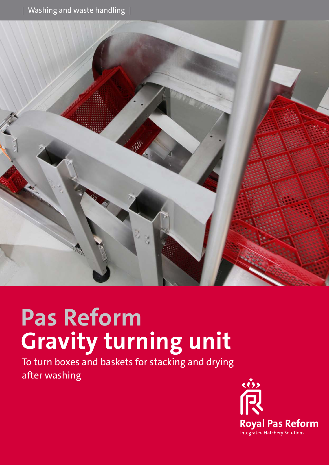

# **Pas Reform Gravity turning unit**

To turn boxes and baskets for stacking and drying after washing